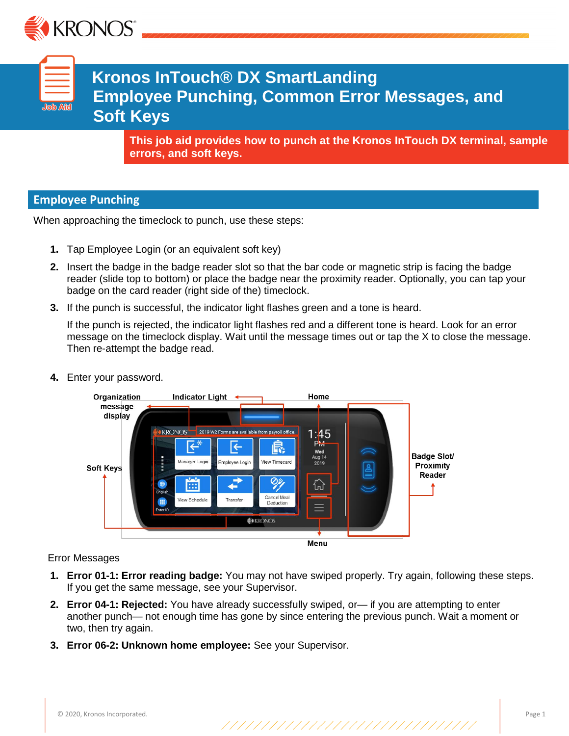

| <b>Job Ai</b> d |  |
|-----------------|--|
|                 |  |

**Kronos InTouch® DX SmartLanding Employee Punching, Common Error Messages, and Soft Keys**

**This job aid provides how to punch at the Kronos InTouch DX terminal, sample errors, and soft keys.**

# **Employee Punching**

When approaching the timeclock to punch, use these steps:

- **1.** Tap Employee Login (or an equivalent soft key)
- **2.** Insert the badge in the badge reader slot so that the bar code or magnetic strip is facing the badge reader (slide top to bottom) or place the badge near the proximity reader. Optionally, you can tap your badge on the card reader (right side of the) timeclock.
- **3.** If the punch is successful, the indicator light flashes green and a tone is heard.

If the punch is rejected, the indicator light flashes red and a different tone is heard. Look for an error message on the timeclock display. Wait until the message times out or tap the X to close the message. Then re-attempt the badge read.



**4.** Enter your password.

#### Error Messages

- **1. Error 01-1: Error reading badge:** You may not have swiped properly. Try again, following these steps. If you get the same message, see your Supervisor.
- **2. Error 04-1: Rejected:** You have already successfully swiped, or— if you are attempting to enter another punch— not enough time has gone by since entering the previous punch. Wait a moment or two, then try again.
- **3. Error 06-2: Unknown home employee:** See your Supervisor.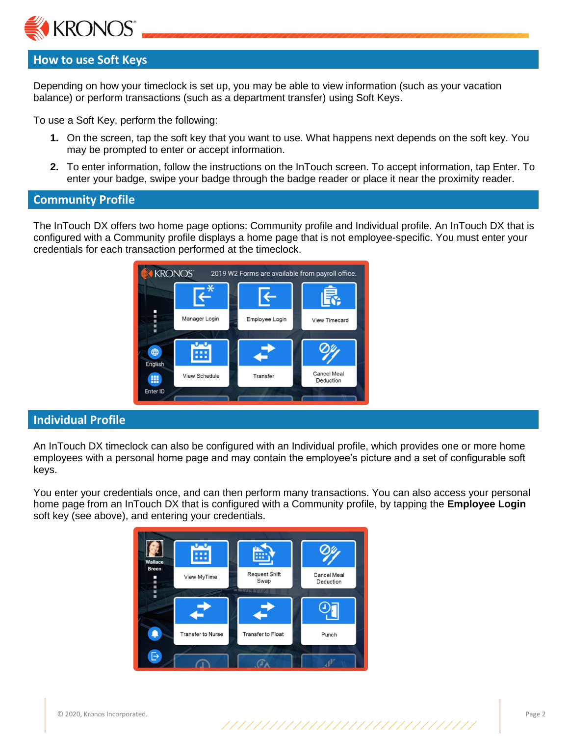

# **How to use Soft Keys**

Depending on how your timeclock is set up, you may be able to view information (such as your vacation balance) or perform transactions (such as a department transfer) using Soft Keys.

To use a Soft Key, perform the following:

- **1.** On the screen, tap the soft key that you want to use. What happens next depends on the soft key. You may be prompted to enter or accept information.
- **2.** To enter information, follow the instructions on the InTouch screen. To accept information, tap Enter. To enter your badge, swipe your badge through the badge reader or place it near the proximity reader.

### **Community Profile**

The InTouch DX offers two home page options: Community profile and Individual profile. An InTouch DX that is configured with a Community profile displays a home page that is not employee-specific. You must enter your credentials for each transaction performed at the timeclock.



### **Individual Profile**

An InTouch DX timeclock can also be configured with an Individual profile, which provides one or more home employees with a personal home page and may contain the employee's picture and a set of configurable soft keys.

You enter your credentials once, and can then perform many transactions. You can also access your personal home page from an InTouch DX that is configured with a Community profile, by tapping the **Employee Login** soft key (see above), and entering your credentials.